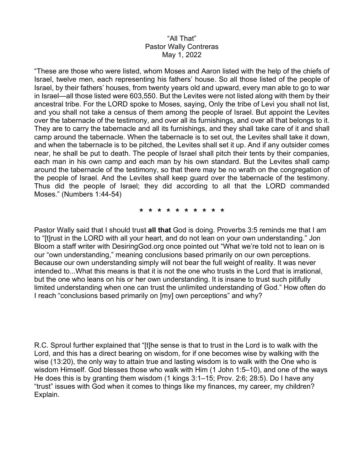## "All That" Pastor Wally Contreras May 1, 2022

"These are those who were listed, whom Moses and Aaron listed with the help of the chiefs of Israel, twelve men, each representing his fathers' house. So all those listed of the people of Israel, by their fathers' houses, from twenty years old and upward, every man able to go to war in Israel—all those listed were 603,550. But the Levites were not listed along with them by their ancestral tribe. For the LORD spoke to Moses, saying, Only the tribe of Levi you shall not list, and you shall not take a census of them among the people of Israel. But appoint the Levites over the tabernacle of the testimony, and over all its furnishings, and over all that belongs to it. They are to carry the tabernacle and all its furnishings, and they shall take care of it and shall camp around the tabernacle. When the tabernacle is to set out, the Levites shall take it down, and when the tabernacle is to be pitched, the Levites shall set it up. And if any outsider comes near, he shall be put to death. The people of Israel shall pitch their tents by their companies, each man in his own camp and each man by his own standard. But the Levites shall camp around the tabernacle of the testimony, so that there may be no wrath on the congregation of the people of Israel. And the Levites shall keep guard over the tabernacle of the testimony. Thus did the people of Israel; they did according to all that the LORD commanded Moses." (Numbers 1:44-54)

**\* \* \* \* \* \* \* \* \* \*** 

Pastor Wally said that I should trust **all that** God is doing. Proverbs 3:5 reminds me that I am to "[t]rust in the LORD with all your heart, and do not lean on your own understanding." Jon Bloom a staff writer with DesiringGod.org once pointed out "What we're told not to lean on is our "own understanding," meaning conclusions based primarily on our own perceptions. Because our own understanding simply will not bear the full weight of reality. It was never intended to...What this means is that it is not the one who trusts in the Lord that is irrational, but the one who leans on his or her own understanding. It is insane to trust such pitifully limited understanding when one can trust the unlimited understanding of God." How often do I reach "conclusions based primarily on [my] own perceptions" and why?

R.C. Sproul further explained that "[t]he sense is that to trust in the Lord is to walk with the Lord, and this has a direct bearing on wisdom, for if one becomes wise by walking with the wise (13:20), the only way to attain true and lasting wisdom is to walk with the One who is wisdom Himself. God blesses those who walk with Him (1 John 1:5–10), and one of the ways He does this is by granting them wisdom (1 kings 3:1–15; Prov. 2:6; 28:5). Do I have any "trust" issues with God when it comes to things like my finances, my career, my children? Explain.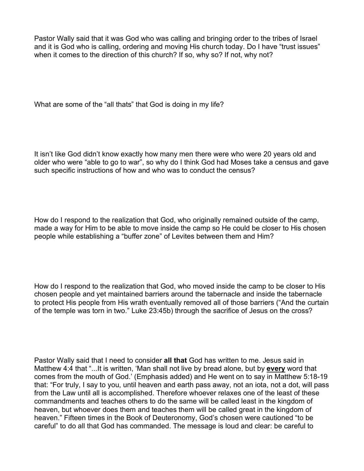Pastor Wally said that it was God who was calling and bringing order to the tribes of Israel and it is God who is calling, ordering and moving His church today. Do I have "trust issues" when it comes to the direction of this church? If so, why so? If not, why not?

What are some of the "all thats" that God is doing in my life?

It isn't like God didn't know exactly how many men there were who were 20 years old and older who were "able to go to war", so why do I think God had Moses take a census and gave such specific instructions of how and who was to conduct the census?

How do I respond to the realization that God, who originally remained outside of the camp, made a way for Him to be able to move inside the camp so He could be closer to His chosen people while establishing a "buffer zone" of Levites between them and Him?

How do I respond to the realization that God, who moved inside the camp to be closer to His chosen people and yet maintained barriers around the tabernacle and inside the tabernacle to protect His people from His wrath eventually removed all of those barriers ("And the curtain of the temple was torn in two." Luke 23:45b) through the sacrifice of Jesus on the cross?

Pastor Wally said that I need to consider **all that** God has written to me. Jesus said in Matthew 4:4 that "...It is written, 'Man shall not live by bread alone, but by **every** word that comes from the mouth of God.' (Emphasis added) and He went on to say in Matthew 5:18-19 that: "For truly, I say to you, until heaven and earth pass away, not an iota, not a dot, will pass from the Law until all is accomplished. Therefore whoever relaxes one of the least of these commandments and teaches others to do the same will be called least in the kingdom of heaven, but whoever does them and teaches them will be called great in the kingdom of heaven." Fifteen times in the Book of Deuteronomy, God's chosen were cautioned "to be careful" to do all that God has commanded. The message is loud and clear: be careful to